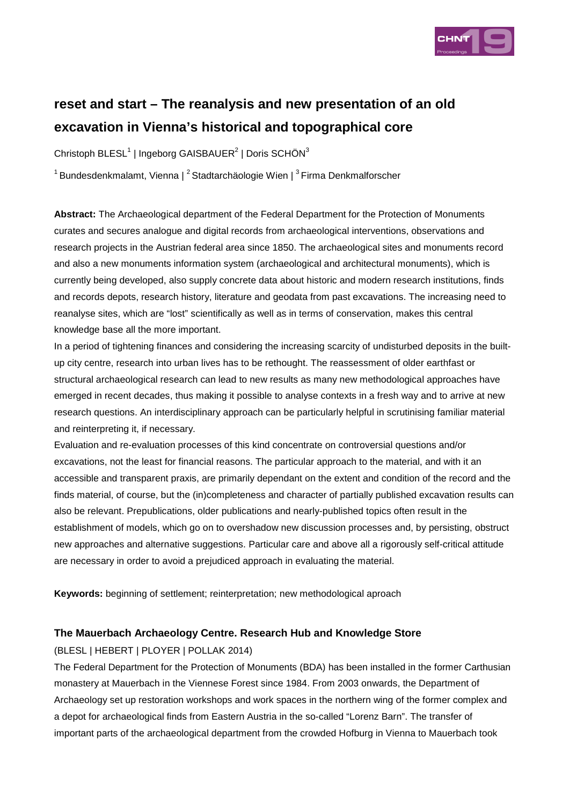

# **reset and start – The reanalysis and new presentation of an old excavation in Vienna's historical and topographical core**

Christoph BLESL<sup>1</sup> | Ingeborg GAISBAUER<sup>2</sup> | Doris SCHÖN<sup>3</sup>

 $1$ Bundesdenkmalamt, Vienna |  $^2$ Stadtarchäologie Wien |  $^3$ Firma Denkmalforscher

**Abstract:** The Archaeological department of the Federal Department for the Protection of Monuments curates and secures analogue and digital records from archaeological interventions, observations and research projects in the Austrian federal area since 1850. The archaeological sites and monuments record and also a new monuments information system (archaeological and architectural monuments), which is currently being developed, also supply concrete data about historic and modern research institutions, finds and records depots, research history, literature and geodata from past excavations. The increasing need to reanalyse sites, which are "lost" scientifically as well as in terms of conservation, makes this central knowledge base all the more important.

In a period of tightening finances and considering the increasing scarcity of undisturbed deposits in the builtup city centre, research into urban lives has to be rethought. The reassessment of older earthfast or structural archaeological research can lead to new results as many new methodological approaches have emerged in recent decades, thus making it possible to analyse contexts in a fresh way and to arrive at new research questions. An interdisciplinary approach can be particularly helpful in scrutinising familiar material and reinterpreting it, if necessary.

Evaluation and re-evaluation processes of this kind concentrate on controversial questions and/or excavations, not the least for financial reasons. The particular approach to the material, and with it an accessible and transparent praxis, are primarily dependant on the extent and condition of the record and the finds material, of course, but the (in)completeness and character of partially published excavation results can also be relevant. Prepublications, older publications and nearly-published topics often result in the establishment of models, which go on to overshadow new discussion processes and, by persisting, obstruct new approaches and alternative suggestions. Particular care and above all a rigorously self-critical attitude are necessary in order to avoid a prejudiced approach in evaluating the material.

**Keywords:** beginning of settlement; reinterpretation; new methodological aproach

## **The Mauerbach Archaeology Centre. Research Hub and Knowledge Store**

(BLESL | HEBERT | PLOYER | POLLAK 2014)

The Federal Department for the Protection of Monuments (BDA) has been installed in the former Carthusian monastery at Mauerbach in the Viennese Forest since 1984. From 2003 onwards, the Department of Archaeology set up restoration workshops and work spaces in the northern wing of the former complex and a depot for archaeological finds from Eastern Austria in the so-called "Lorenz Barn". The transfer of important parts of the archaeological department from the crowded Hofburg in Vienna to Mauerbach took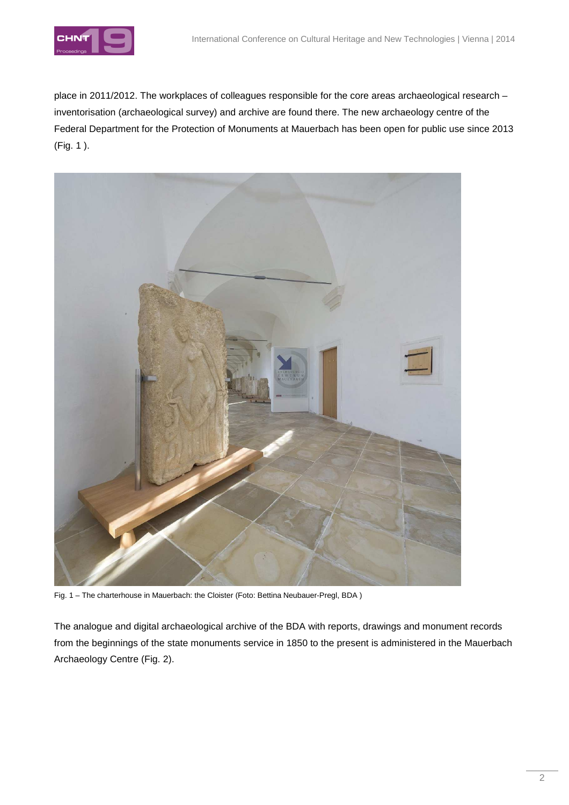

place in 2011/2012. The workplaces of colleagues responsible for the core areas archaeological research – inventorisation (archaeological survey) and archive are found there. The new archaeology centre of the Federal Department for the Protection of Monuments at Mauerbach has been open for public use since 2013 (Fig. 1 ).



Fig. 1 – The charterhouse in Mauerbach: the Cloister (Foto: Bettina Neubauer-Pregl, BDA )

The analogue and digital archaeological archive of the BDA with reports, drawings and monument records from the beginnings of the state monuments service in 1850 to the present is administered in the Mauerbach Archaeology Centre (Fig. 2).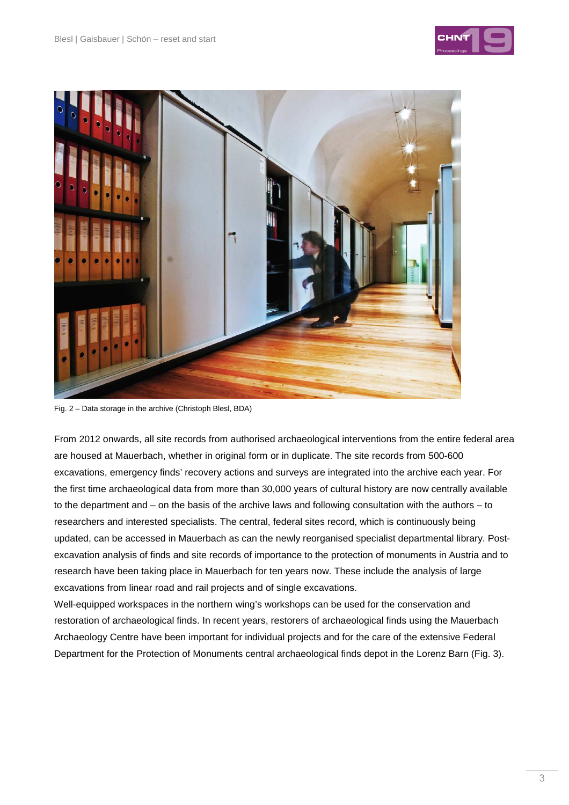



Fig. 2 – Data storage in the archive (Christoph Blesl, BDA)

From 2012 onwards, all site records from authorised archaeological interventions from the entire federal area are housed at Mauerbach, whether in original form or in duplicate. The site records from 500-600 excavations, emergency finds' recovery actions and surveys are integrated into the archive each year. For the first time archaeological data from more than 30,000 years of cultural history are now centrally available to the department and – on the basis of the archive laws and following consultation with the authors – to researchers and interested specialists. The central, federal sites record, which is continuously being updated, can be accessed in Mauerbach as can the newly reorganised specialist departmental library. Postexcavation analysis of finds and site records of importance to the protection of monuments in Austria and to research have been taking place in Mauerbach for ten years now. These include the analysis of large excavations from linear road and rail projects and of single excavations.

Well-equipped workspaces in the northern wing's workshops can be used for the conservation and restoration of archaeological finds. In recent years, restorers of archaeological finds using the Mauerbach Archaeology Centre have been important for individual projects and for the care of the extensive Federal Department for the Protection of Monuments central archaeological finds depot in the Lorenz Barn (Fig. 3).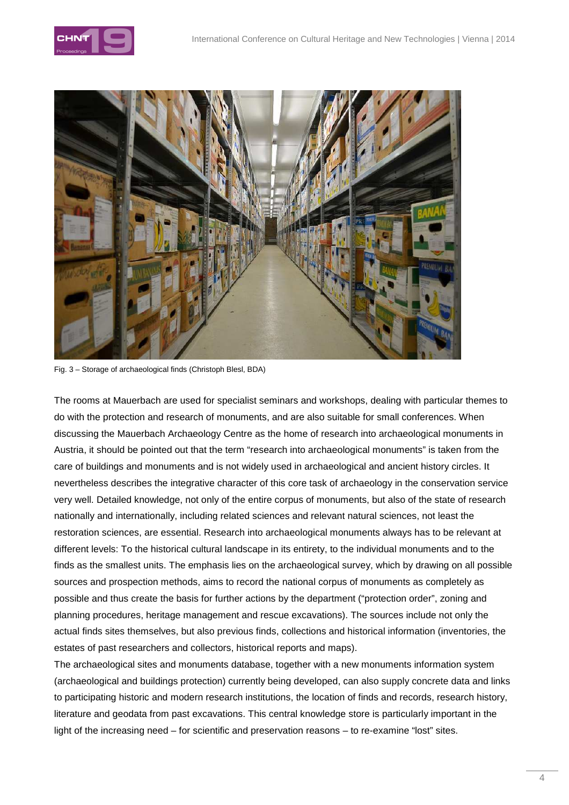



Fig. 3 – Storage of archaeological finds (Christoph Blesl, BDA)

The rooms at Mauerbach are used for specialist seminars and workshops, dealing with particular themes to do with the protection and research of monuments, and are also suitable for small conferences. When discussing the Mauerbach Archaeology Centre as the home of research into archaeological monuments in Austria, it should be pointed out that the term "research into archaeological monuments" is taken from the care of buildings and monuments and is not widely used in archaeological and ancient history circles. It nevertheless describes the integrative character of this core task of archaeology in the conservation service very well. Detailed knowledge, not only of the entire corpus of monuments, but also of the state of research nationally and internationally, including related sciences and relevant natural sciences, not least the restoration sciences, are essential. Research into archaeological monuments always has to be relevant at different levels: To the historical cultural landscape in its entirety, to the individual monuments and to the finds as the smallest units. The emphasis lies on the archaeological survey, which by drawing on all possible sources and prospection methods, aims to record the national corpus of monuments as completely as possible and thus create the basis for further actions by the department ("protection order", zoning and planning procedures, heritage management and rescue excavations). The sources include not only the actual finds sites themselves, but also previous finds, collections and historical information (inventories, the estates of past researchers and collectors, historical reports and maps).

The archaeological sites and monuments database, together with a new monuments information system (archaeological and buildings protection) currently being developed, can also supply concrete data and links to participating historic and modern research institutions, the location of finds and records, research history, literature and geodata from past excavations. This central knowledge store is particularly important in the light of the increasing need – for scientific and preservation reasons – to re-examine "lost" sites.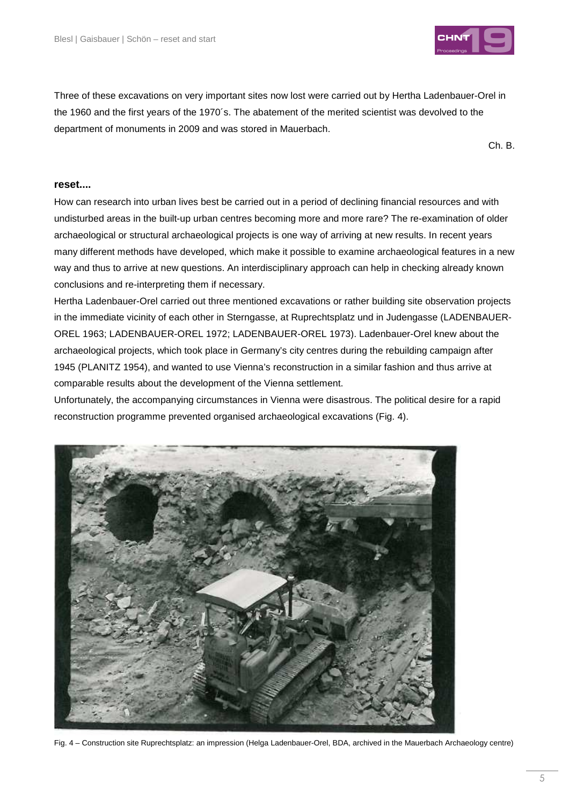

Three of these excavations on very important sites now lost were carried out by Hertha Ladenbauer-Orel in the 1960 and the first years of the 1970´s. The abatement of the merited scientist was devolved to the department of monuments in 2009 and was stored in Mauerbach.

Ch. B.

### **reset....**

How can research into urban lives best be carried out in a period of declining financial resources and with undisturbed areas in the built-up urban centres becoming more and more rare? The re-examination of older archaeological or structural archaeological projects is one way of arriving at new results. In recent years many different methods have developed, which make it possible to examine archaeological features in a new way and thus to arrive at new questions. An interdisciplinary approach can help in checking already known conclusions and re-interpreting them if necessary.

Hertha Ladenbauer-Orel carried out three mentioned excavations or rather building site observation projects in the immediate vicinity of each other in Sterngasse, at Ruprechtsplatz und in Judengasse (LADENBAUER-OREL 1963; LADENBAUER-OREL 1972; LADENBAUER-OREL 1973). Ladenbauer-Orel knew about the archaeological projects, which took place in Germany's city centres during the rebuilding campaign after 1945 (PLANITZ 1954), and wanted to use Vienna's reconstruction in a similar fashion and thus arrive at comparable results about the development of the Vienna settlement.

Unfortunately, the accompanying circumstances in Vienna were disastrous. The political desire for a rapid reconstruction programme prevented organised archaeological excavations (Fig. 4).



Fig. 4 – Construction site Ruprechtsplatz: an impression (Helga Ladenbauer-Orel, BDA, archived in the Mauerbach Archaeology centre)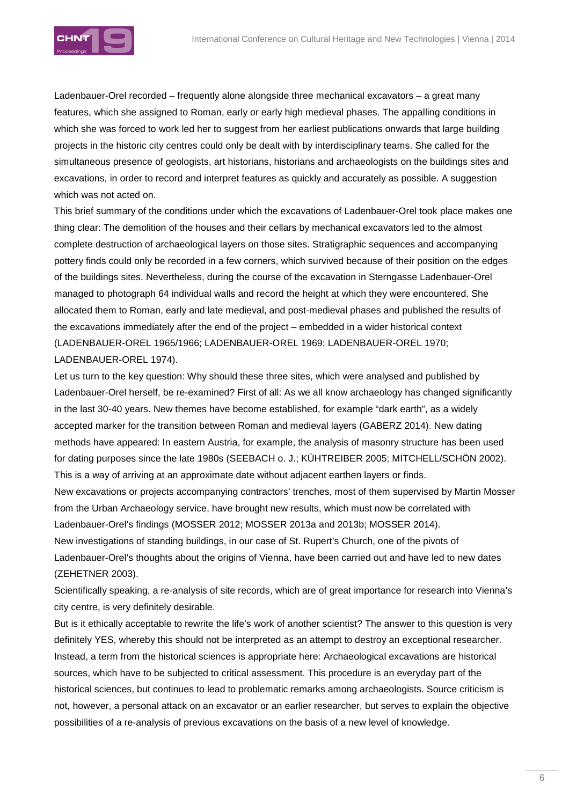

Ladenbauer-Orel recorded – frequently alone alongside three mechanical excavators – a great many features, which she assigned to Roman, early or early high medieval phases. The appalling conditions in which she was forced to work led her to suggest from her earliest publications onwards that large building projects in the historic city centres could only be dealt with by interdisciplinary teams. She called for the simultaneous presence of geologists, art historians, historians and archaeologists on the buildings sites and excavations, in order to record and interpret features as quickly and accurately as possible. A suggestion which was not acted on.

This brief summary of the conditions under which the excavations of Ladenbauer-Orel took place makes one thing clear: The demolition of the houses and their cellars by mechanical excavators led to the almost complete destruction of archaeological layers on those sites. Stratigraphic sequences and accompanying pottery finds could only be recorded in a few corners, which survived because of their position on the edges of the buildings sites. Nevertheless, during the course of the excavation in Sterngasse Ladenbauer-Orel managed to photograph 64 individual walls and record the height at which they were encountered. She allocated them to Roman, early and late medieval, and post-medieval phases and published the results of the excavations immediately after the end of the project – embedded in a wider historical context (LADENBAUER-OREL 1965/1966; LADENBAUER-OREL 1969; LADENBAUER-OREL 1970; LADENBAUER-OREL 1974).

Let us turn to the key question: Why should these three sites, which were analysed and published by Ladenbauer-Orel herself, be re-examined? First of all: As we all know archaeology has changed significantly in the last 30-40 years. New themes have become established, for example "dark earth", as a widely accepted marker for the transition between Roman and medieval layers (GABERZ 2014). New dating methods have appeared: In eastern Austria, for example, the analysis of masonry structure has been used for dating purposes since the late 1980s (SEEBACH o. J.; KÜHTREIBER 2005; MITCHELL/SCHÖN 2002). This is a way of arriving at an approximate date without adjacent earthen layers or finds. New excavations or projects accompanying contractors' trenches, most of them supervised by Martin Mosser from the Urban Archaeology service, have brought new results, which must now be correlated with Ladenbauer-Orel's findings (MOSSER 2012; MOSSER 2013a and 2013b; MOSSER 2014). New investigations of standing buildings, in our case of St. Rupert's Church, one of the pivots of

Ladenbauer-Orel's thoughts about the origins of Vienna, have been carried out and have led to new dates (ZEHETNER 2003).

Scientifically speaking, a re-analysis of site records, which are of great importance for research into Vienna's city centre, is very definitely desirable.

But is it ethically acceptable to rewrite the life's work of another scientist? The answer to this question is very definitely YES, whereby this should not be interpreted as an attempt to destroy an exceptional researcher. Instead, a term from the historical sciences is appropriate here: Archaeological excavations are historical sources, which have to be subjected to critical assessment. This procedure is an everyday part of the historical sciences, but continues to lead to problematic remarks among archaeologists. Source criticism is not, however, a personal attack on an excavator or an earlier researcher, but serves to explain the objective possibilities of a re-analysis of previous excavations on the basis of a new level of knowledge.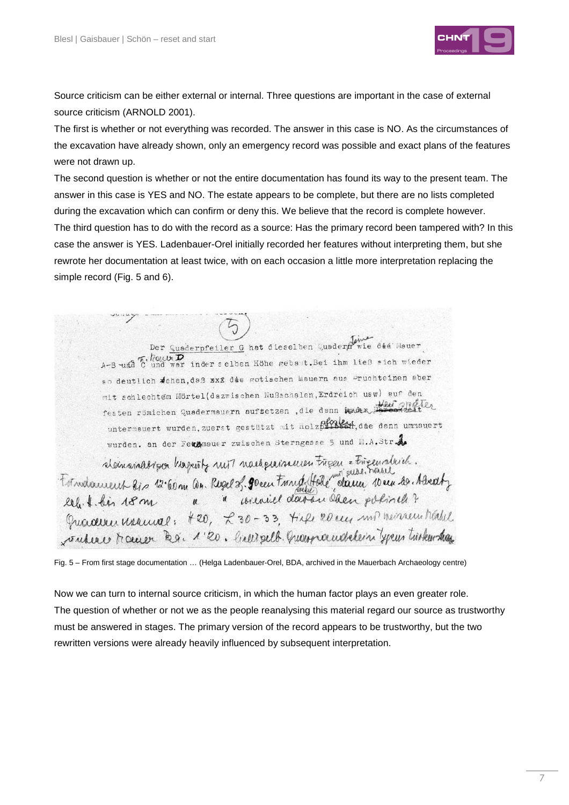

Source criticism can be either external or internal. Three questions are important in the case of external source criticism (ARNOLD 2001).

The first is whether or not everything was recorded. The answer in this case is NO. As the circumstances of the excavation have already shown, only an emergency record was possible and exact plans of the features were not drawn up.

The second question is whether or not the entire documentation has found its way to the present team. The answer in this case is YES and NO. The estate appears to be complete, but there are no lists completed during the excavation which can confirm or deny this. We believe that the record is complete however. The third question has to do with the record as a source: Has the primary record been tampered with? In this case the answer is YES. Ladenbauer-Orel initially recorded her features without interpreting them, but she rewrote her documentation at least twice, with on each occasion a little more interpretation replacing the simple record (Fig. 5 and 6).

Der Quederpfeiler G hat dieselben Quedern wie dee Hauer<br>A-B und War inder selben Höhe gebaut. Bei ihm ließ sich wieder so deutlich dehen, daß xxx dee gotischen Mauern aus Pruchteinen aber mit schlechtem Mörtel(dazwischen Nußschalen, Erdreich usw) sur den festen römichen Quadermauern aufsetzen, die denn under Bereitzeiter untermauert wurden, zuerst gestützt mit Holzbiller, die denn ummauert wurden. an der Feugenauer zwischen Sterngasse 5 und H.A.Str. demonation hapitty nut noutgeureur treeu = trigemolisch.<br>Tétradament lis 12 60m an Regel 2. 90 eeu troughttale dann deus rainel Guacerer neuval: 420, 230-33, tile 20 eur und menseur tréable vinclure traceuer R.g. 1'20. lively selb. Quanna endelein your tricken than

Fig. 5 – From first stage documentation … (Helga Ladenbauer-Orel, BDA, archived in the Mauerbach Archaeology centre)

Now we can turn to internal source criticism, in which the human factor plays an even greater role. The question of whether or not we as the people reanalysing this material regard our source as trustworthy must be answered in stages. The primary version of the record appears to be trustworthy, but the two rewritten versions were already heavily influenced by subsequent interpretation.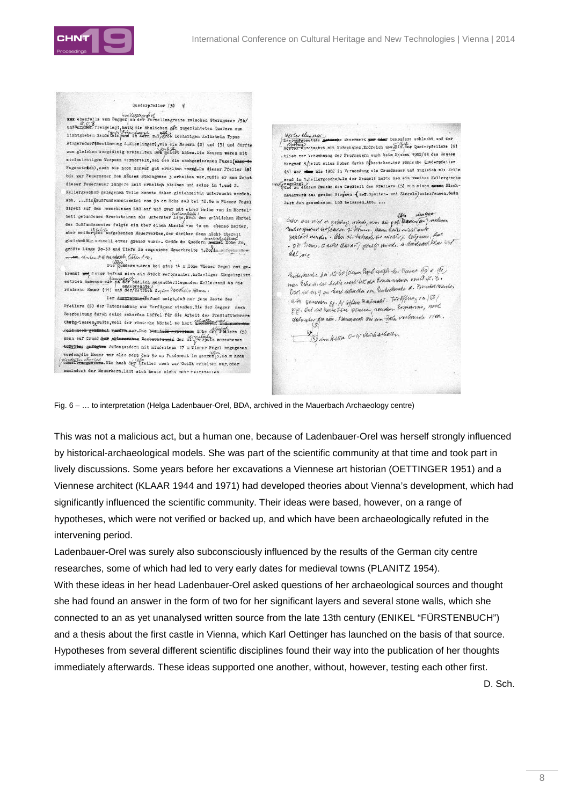



Fig. 6 – … to interpretation (Helga Ladenbauer-Orel, BDA, archived in the Mauerbach Archaeology centre)

This was not a malicious act, but a human one, because of Ladenbauer-Orel was herself strongly influenced by historical-archaeological models. She was part of the scientific community at that time and took part in lively discussions. Some years before her excavations a Viennese art historian (OETTINGER 1951) and a Viennese architect (KLAAR 1944 and 1971) had developed theories about Vienna's development, which had significantly influenced the scientific community. Their ideas were based, however, on a range of hypotheses, which were not verified or backed up, and which have been archaeologically refuted in the intervening period.

Ladenbauer-Orel was surely also subconsciously influenced by the results of the German city centre researches, some of which had led to very early dates for medieval towns (PLANITZ 1954). With these ideas in her head Ladenbauer-Orel asked questions of her archaeological sources and thought she had found an answer in the form of two for her significant layers and several stone walls, which she connected to an as yet unanalysed written source from the late 13th century (ENIKEL "FÜRSTENBUCH") and a thesis about the first castle in Vienna, which Karl Oettinger has launched on the basis of that source. Hypotheses from several different scientific disciplines found their way into the publication of her thoughts immediately afterwards. These ideas supported one another, without, however, testing each other first.

D. Sch.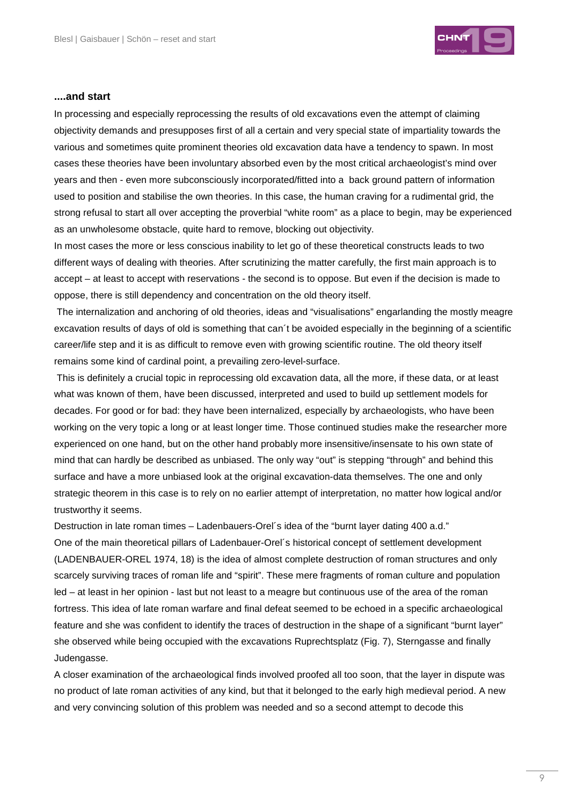

#### **....and start**

In processing and especially reprocessing the results of old excavations even the attempt of claiming objectivity demands and presupposes first of all a certain and very special state of impartiality towards the various and sometimes quite prominent theories old excavation data have a tendency to spawn. In most cases these theories have been involuntary absorbed even by the most critical archaeologist's mind over years and then - even more subconsciously incorporated/fitted into a back ground pattern of information used to position and stabilise the own theories. In this case, the human craving for a rudimental grid, the strong refusal to start all over accepting the proverbial "white room" as a place to begin, may be experienced as an unwholesome obstacle, quite hard to remove, blocking out objectivity.

In most cases the more or less conscious inability to let go of these theoretical constructs leads to two different ways of dealing with theories. After scrutinizing the matter carefully, the first main approach is to accept – at least to accept with reservations - the second is to oppose. But even if the decision is made to oppose, there is still dependency and concentration on the old theory itself.

 The internalization and anchoring of old theories, ideas and "visualisations" engarlanding the mostly meagre excavation results of days of old is something that can´t be avoided especially in the beginning of a scientific career/life step and it is as difficult to remove even with growing scientific routine. The old theory itself remains some kind of cardinal point, a prevailing zero-level-surface.

 This is definitely a crucial topic in reprocessing old excavation data, all the more, if these data, or at least what was known of them, have been discussed, interpreted and used to build up settlement models for decades. For good or for bad: they have been internalized, especially by archaeologists, who have been working on the very topic a long or at least longer time. Those continued studies make the researcher more experienced on one hand, but on the other hand probably more insensitive/insensate to his own state of mind that can hardly be described as unbiased. The only way "out" is stepping "through" and behind this surface and have a more unbiased look at the original excavation-data themselves. The one and only strategic theorem in this case is to rely on no earlier attempt of interpretation, no matter how logical and/or trustworthy it seems.

Destruction in late roman times – Ladenbauers-Orel's idea of the "burnt layer dating 400 a.d." One of the main theoretical pillars of Ladenbauer-Orel´s historical concept of settlement development (LADENBAUER-OREL 1974, 18) is the idea of almost complete destruction of roman structures and only scarcely surviving traces of roman life and "spirit". These mere fragments of roman culture and population led – at least in her opinion - last but not least to a meagre but continuous use of the area of the roman fortress. This idea of late roman warfare and final defeat seemed to be echoed in a specific archaeological feature and she was confident to identify the traces of destruction in the shape of a significant "burnt layer" she observed while being occupied with the excavations Ruprechtsplatz (Fig. 7), Sterngasse and finally Judengasse.

A closer examination of the archaeological finds involved proofed all too soon, that the layer in dispute was no product of late roman activities of any kind, but that it belonged to the early high medieval period. A new and very convincing solution of this problem was needed and so a second attempt to decode this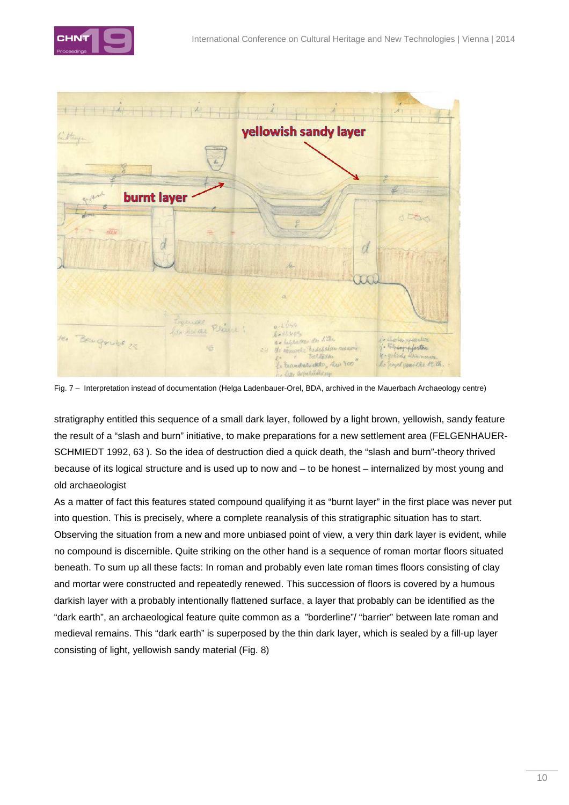



Fig. 7 – Interpretation instead of documentation (Helga Ladenbauer-Orel, BDA, archived in the Mauerbach Archaeology centre)

stratigraphy entitled this sequence of a small dark layer, followed by a light brown, yellowish, sandy feature the result of a "slash and burn" initiative, to make preparations for a new settlement area (FELGENHAUER-SCHMIEDT 1992, 63 ). So the idea of destruction died a quick death, the "slash and burn"-theory thrived because of its logical structure and is used up to now and – to be honest – internalized by most young and old archaeologist

As a matter of fact this features stated compound qualifying it as "burnt layer" in the first place was never put into question. This is precisely, where a complete reanalysis of this stratigraphic situation has to start. Observing the situation from a new and more unbiased point of view, a very thin dark layer is evident, while no compound is discernible. Quite striking on the other hand is a sequence of roman mortar floors situated beneath. To sum up all these facts: In roman and probably even late roman times floors consisting of clay and mortar were constructed and repeatedly renewed. This succession of floors is covered by a humous darkish layer with a probably intentionally flattened surface, a layer that probably can be identified as the "dark earth", an archaeological feature quite common as a "borderline"/ "barrier" between late roman and medieval remains. This "dark earth" is superposed by the thin dark layer, which is sealed by a fill-up layer consisting of light, yellowish sandy material (Fig. 8)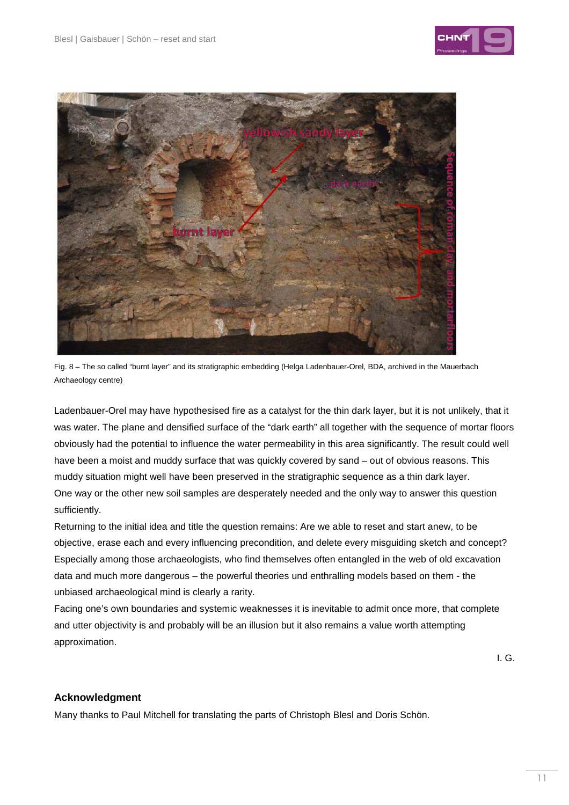





Ladenbauer-Orel may have hypothesised fire as a catalyst for the thin dark layer, but it is not unlikely, that it was water. The plane and densified surface of the "dark earth" all together with the sequence of mortar floors obviously had the potential to influence the water permeability in this area significantly. The result could well have been a moist and muddy surface that was quickly covered by sand – out of obvious reasons. This muddy situation might well have been preserved in the stratigraphic sequence as a thin dark layer. One way or the other new soil samples are desperately needed and the only way to answer this question sufficiently.

Returning to the initial idea and title the question remains: Are we able to reset and start anew, to be objective, erase each and every influencing precondition, and delete every misguiding sketch and concept? Especially among those archaeologists, who find themselves often entangled in the web of old excavation data and much more dangerous – the powerful theories und enthralling models based on them - the unbiased archaeological mind is clearly a rarity.

Facing one's own boundaries and systemic weaknesses it is inevitable to admit once more, that complete and utter objectivity is and probably will be an illusion but it also remains a value worth attempting approximation.

I. G.

## **Acknowledgment**

Many thanks to Paul Mitchell for translating the parts of Christoph Blesl and Doris Schön.